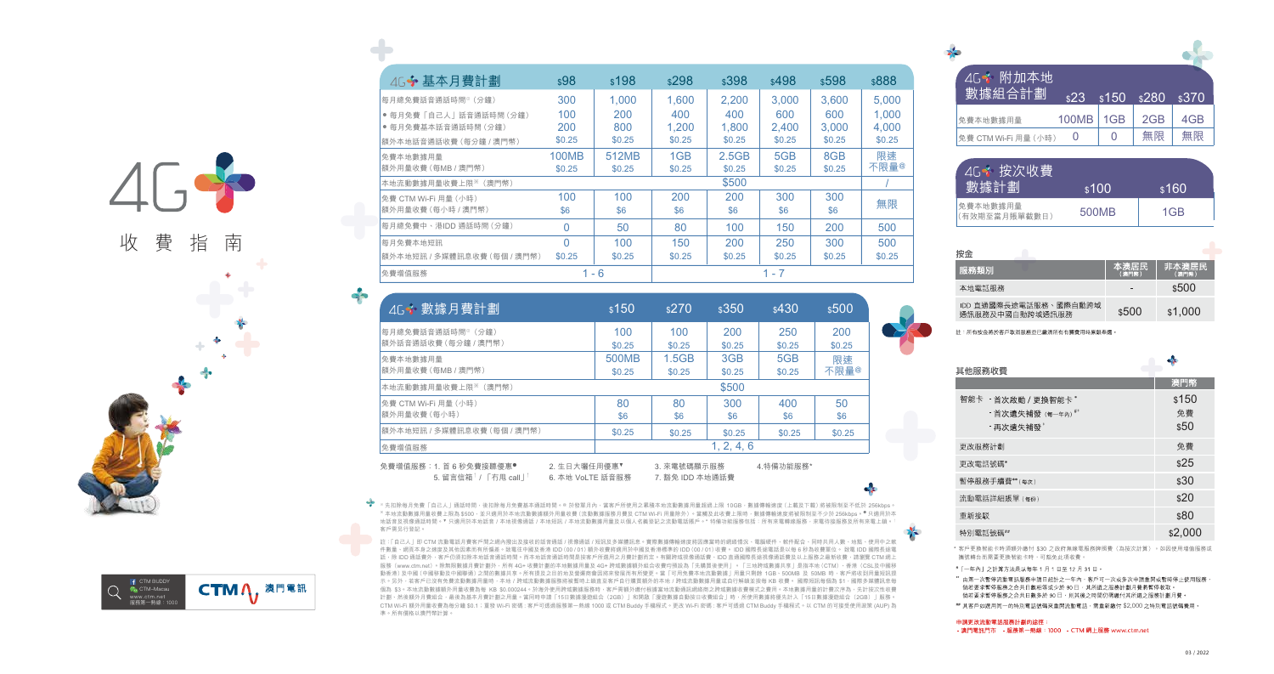

99



| 46÷ 基本月費計劃                    | \$98         | \$198   | \$298           | \$398  | \$498  | \$598  | \$888            |
|-------------------------------|--------------|---------|-----------------|--------|--------|--------|------------------|
| 每月總免費話音通話時間 <sup>。</sup> (分鐘) | 300          | 1.000   | 1.600           | 2.200  | 3.000  | 3.600  | 5.000            |
| ● 每月免費「自己人」話音通話時間 (分鐘)        | 100          | 200     | 400             | 400    | 600    | 600    | 1.000            |
| ● 每月免費基本話音通話時間 (分鐘)           | 200          | 800     | 1.200           | 1.800  | 2.400  | 3.000  | 4.000            |
| 額外本地話音通話收費 (每分鐘 / 澳門幣)        | \$0.25       | \$0.25  | \$0.25          | \$0.25 | \$0.25 | \$0.25 | \$0.25           |
| 免費本地數據用量                      | <b>100MB</b> | 512MB   | 1 <sub>GB</sub> | 2.5GB  | 5GB    | 8GB    | 限速               |
| 額外用量收費 (每MB / 澳門幣)            | \$0.25       | \$0.25  | \$0.25          | \$0.25 | \$0.25 | \$0.25 | 不限量 <sup>@</sup> |
| 本地流動數據用量收費上限※ (澳門幣)           |              |         |                 | \$500  |        |        |                  |
| 免費 CTM Wi-Fi 用量 (小時)          | 100          | 100     | 200             | 200    | 300    | 300    |                  |
| 額外用量收費 (每小時 / 澳門幣)            | \$6          | \$6     | \$6             | \$6    | \$6    | \$6    | 無限               |
| 每月總免費中、港IDD 通話時間 (分鐘)         | $\Omega$     | 50      | 80              | 100    | 150    | 200    | 500              |
| 每月免費本地短訊                      | O            | 100     | 150             | 200    | 250    | 300    | 500              |
| 額外本地短訊 / 多媒體訊息收費 (每個 / 澳門幣)   | \$0.25       | \$0.25  | \$0.25          | \$0.25 | \$0.25 | \$0.25 | \$0.25           |
| 免費增值服務                        |              | $1 - 6$ |                 |        | 1 - 7  |        |                  |

| 4G 数據月費計劃                                                         | \$150            | \$270                          | \$350         | \$430         | \$500         |
|-------------------------------------------------------------------|------------------|--------------------------------|---------------|---------------|---------------|
| 每月總免費話音通話時間 <sup>。</sup> (分鐘)<br>額外話音通話收費 (每分鐘 / 澳門幣)             | 100<br>\$0.25    | 100<br>\$0.25                  | 200<br>\$0.25 | 250<br>\$0.25 | 200<br>\$0.25 |
| 免費本地數據用量<br>額外用量收費 (每MB / 澳門幣)                                    | 500MB<br>\$0.25  | 1.5GB<br>\$0.25                | 3GB<br>\$0.25 | 5GB<br>\$0.25 | 限速<br>不限量@    |
| 本地流動數據用量收費上限※ (澳門幣)                                               |                  |                                | \$500         |               |               |
| 免費 CTM Wi-Fi 用量 (小時)<br>額外用量收費 (每小時)                              | 80<br>\$6        | 80<br>\$6                      | 300<br>\$6    | 400<br>\$6    | 50<br>\$6     |
| 額外本地短訊 / 多媒體訊息收費 (每個 / 澳門幣)                                       | \$0.25           | \$0.25                         | \$0.25        | \$0.25        | \$0.25        |
| 免費增值服務                                                            |                  |                                | 1, 2, 4, 6    |               |               |
| 免費增值服務:1. 首 6 秒免費接聽優惠●<br>2. 生日大曬任用優惠▼<br>5. 留言信箱   / 「冇甩 call」 「 | 6. 本地 VoLTE 話音服務 | 3. 來電號碼顯示服務<br>7. 豁免 IDD 本地通話費 |               | 4.特備功能服務*     |               |

◎先扣除每月免費「自己人」通話時間,後扣除每月免費基本通話時間。◎ 於發單月內,當客戶所使用之累積本地流動數據用量超過上限 10GB,數據傳輸速度(上載及下載)將被限制至不低於 256kbps 。<br>※ 本地流動數據用量收費上限為 \$500,並只適用於本地流動數據額外用量收費 (流動數據服務月費及 CTM Wi-Fi 用量除外)。當觸及此收費上限時,數據傳輸速度將被限制至不少於 256kbps 。● 只適用於本 地話音及視像通話時間。▼ 只適用於本地話音 / 本地視像通話 / 本地短訊 / 本地流動數據用量及以個人名義登記之流動電話賬戶。\* 特備功能服務包括:所有來電轉線服務,來電待接服務及所有來電上鎖。↑ 客戶需另行登記。

註:「自己人」即 CTM 流動電話月費客戶間之網內撥出及接收的話音通話 / 視像通話 / 短訊及多媒體訊息。實際數據傳輸速度將因應當時的網絡情況、電腦硬件、軟件配合、同時共用人數、地點、使用中之軟 件數量、網頁本身之速度及其他因素而有所偏差。致電往中國及香港 IDD(00 / 01)額外收費將適用於中國及香港標準的 IDD(00 / 01)收費。 IDD 國際長途電話是以每 6 秒為收費單位。 致電 IDD 國際長途電 話,除 IDD 通話費外,客戶仍須扣除本地話音通話時間。而本地話音通話時間是按客戶所選用之月費計劃而定。有關跨域視像通話費、IDD 直通國際長途視像通話費及以上服務之最新收費,請瀏覽 CTM 網上 服務(www.ctm.net)。除無限數據月費計劃外,所有 4G+ 收費計劃的本地數據用量及 4G+ 跨域數據額外組合收費均預設為「先購買後使用」。「三地跨域數據共享」是指本地(CTM)、香港(CSL及中國移 動香港)及中國(中國移動及中國聯通)之間的數據共享。所有提及之目的地及營運商會因將來發展而有所變更。當「可用免費本地流動數據」用量只剩餘 1GB、500MB 及 50MB 時,客戶將收到用量短訊提 示。另外,若客戶已沒有免費流動數據用量時,本地/跨域流動數據服務將被暫時上鎖直至客戶自行購買額外的本地/跨域流動數據用量或自行解鎖並按每 KB 收費。 國際短訊每個為 \$1,國際多媒體訊息每 個為 \$3。本地流動數據額外用量收費為每 KB \$0.000244。於海外使用跨域數據服務時,客戶需額外繳付根據當地流動通訊網絡商之跨域數據收費模式之費用。本地數據用量的計費次序為,先計按次性收費 計劃、然後額外月費組合,最後為基本月費計劃之用量。當同時申請「15日數據漫遊組合(2GB)」和開啟「漫遊數據自動按日收費組合」時,所使用數據將優先計入「15日數據漫遊組合(2GB)」服務。 CTM Wi-Fi 額外用量收費為每分鐘 \$0.1;重發 Wi-Fi 密碼 : 客戶可透過服務第一熱線 1000 或 CTM Buddy 手機程式。更改 Wi-Fi 密碼 : 客戶可透過 CTM Buddy 手機程式。以 CTM 的可接受使用政策 (AUP) 為 準。所有價格以澳門幣計算。

| 4G 附加本地<br>數據組合計劃    | \$23  | \$150           | \$280 | \$370 |
|----------------------|-------|-----------------|-------|-------|
| 免費本地數據用量             | 100MB | 1 <sub>GB</sub> | 2GB   | 4GB   |
| 免費 CTM Wi-Fi 用量 (小時) |       |                 | 無限    | 無限    |

| 4G※ 按次收費 <br> 數據計劃        | \$100 | \$160 |
|---------------------------|-------|-------|
| 免費本地數據用量<br>(有效期至當月賬單截數日) | 500MB | 1GB   |

| 按金                                       |               |                |
|------------------------------------------|---------------|----------------|
| 服務類別                                     | 本澳居民<br>(澳門幣) | 非本澳居民<br>(澳門幣) |
| 本地電話服務                                   | -             | \$500          |
| IDD 直通國際長途電話服務、國際自動跨域<br>诵訊服務及中國白動跨域通訊服務 | \$500         | \$1,000        |

註:所有按金將於客戶取消服務並已繳清所有有關費用時原銀奉還。

| 其他服務收費                                                            |                     |
|-------------------------------------------------------------------|---------------------|
|                                                                   | 澳門幣                 |
| 智能卡 - 首次啟動 / 更換智能卡*<br>- 首次遺失補發 (每一年內) <sup>#*</sup><br>- 再次潰失補發* | \$150<br>免費<br>\$50 |
| 更改服務計劃                                                            | 免費                  |
| 更改電話號碼*                                                           | \$25                |
| 暫停服務手續費**(每次)                                                     | \$30                |
| 流動電話詳細賬單(每份)                                                      | \$20                |
| 重新接駁                                                              | \$80                |
| 特別電話號碼##                                                          | \$2,000             |

\* 客戶更換智能卡時須額外繳付 \$30 之政府無線電服務牌照費(為按次計算)。如因使用增值服務或 攜號轉台而需要更換智能卡時,可豁免此項收費。

#「一年內」之計算方法是以每年 1 月 1 日至 12 月 31 日。

"由第一次暫停流動電話服務申請日起計之一年內,客戶可一次或多次申請重開或暫時停止使用服務, 倘若要求暫停服務之合共日數相等或少於 90 日,其所選之服務計劃月費將暫停收取。 倘若要求暫停服務之合共日數多於 90 日,則其後之時間仍需繳付其所選之服務計劃月費。

## 其客戶如選用同一的特別電話號碼來重開流動電話,需重新繳付 \$2,000 之特別電話號碼費用。

申請更改流動電話服務計劃的途徑: - 澳門電訊門市 - 服務第一熱線: 1000 - CTM 網上服務 www.ctm.net